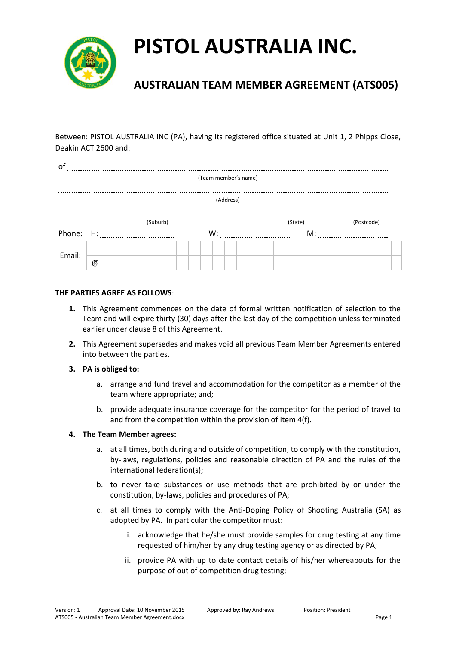

### **AUSTRALIAN TEAM MEMBER AGREEMENT (ATS005)**

Between: PISTOL AUSTRALIA INC (PA), having its registered office situated at Unit 1, 2 Phipps Close, Deakin ACT 2600 and:

| of                   |           |  |  |  |  |          |    |  |  |  |  |  |    |  |  |  |         |  |  |  |  |  |            |  |
|----------------------|-----------|--|--|--|--|----------|----|--|--|--|--|--|----|--|--|--|---------|--|--|--|--|--|------------|--|
| (Team member's name) |           |  |  |  |  |          |    |  |  |  |  |  |    |  |  |  |         |  |  |  |  |  |            |  |
|                      |           |  |  |  |  |          |    |  |  |  |  |  |    |  |  |  |         |  |  |  |  |  |            |  |
| (Address)            |           |  |  |  |  |          |    |  |  |  |  |  |    |  |  |  |         |  |  |  |  |  |            |  |
|                      |           |  |  |  |  |          |    |  |  |  |  |  |    |  |  |  |         |  |  |  |  |  |            |  |
|                      |           |  |  |  |  | (Suburb) |    |  |  |  |  |  |    |  |  |  | (State) |  |  |  |  |  | (Postcode) |  |
|                      | Phone: H: |  |  |  |  |          | W: |  |  |  |  |  | M: |  |  |  |         |  |  |  |  |  |            |  |
|                      |           |  |  |  |  |          |    |  |  |  |  |  |    |  |  |  |         |  |  |  |  |  |            |  |
| Email:               |           |  |  |  |  |          |    |  |  |  |  |  |    |  |  |  |         |  |  |  |  |  |            |  |
|                      | @         |  |  |  |  |          |    |  |  |  |  |  |    |  |  |  |         |  |  |  |  |  |            |  |

### **THE PARTIES AGREE AS FOLLOWS**:

- **1.** This Agreement commences on the date of formal written notification of selection to the Team and will expire thirty (30) days after the last day of the competition unless terminated earlier under clause 8 of this Agreement.
- **2.** This Agreement supersedes and makes void all previous Team Member Agreements entered into between the parties.

### **3. PA is obliged to:**

- a. arrange and fund travel and accommodation for the competitor as a member of the team where appropriate; and;
- b. provide adequate insurance coverage for the competitor for the period of travel to and from the competition within the provision of Item 4(f).

### **4. The Team Member agrees:**

- a. at all times, both during and outside of competition, to comply with the constitution, by-laws, regulations, policies and reasonable direction of PA and the rules of the international federation(s);
- b. to never take substances or use methods that are prohibited by or under the constitution, by-laws, policies and procedures of PA;
- c. at all times to comply with the Anti-Doping Policy of Shooting Australia (SA) as adopted by PA. In particular the competitor must:
	- i. acknowledge that he/she must provide samples for drug testing at any time requested of him/her by any drug testing agency or as directed by PA;
	- ii. provide PA with up to date contact details of his/her whereabouts for the purpose of out of competition drug testing;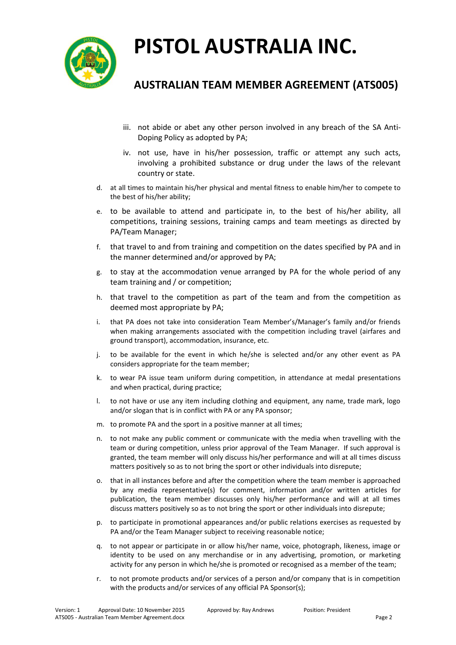

### **AUSTRALIAN TEAM MEMBER AGREEMENT (ATS005)**

- iii. not abide or abet any other person involved in any breach of the SA Anti-Doping Policy as adopted by PA;
- iv. not use, have in his/her possession, traffic or attempt any such acts, involving a prohibited substance or drug under the laws of the relevant country or state.
- d. at all times to maintain his/her physical and mental fitness to enable him/her to compete to the best of his/her ability;
- e. to be available to attend and participate in, to the best of his/her ability, all competitions, training sessions, training camps and team meetings as directed by PA/Team Manager;
- f. that travel to and from training and competition on the dates specified by PA and in the manner determined and/or approved by PA;
- g. to stay at the accommodation venue arranged by PA for the whole period of any team training and / or competition;
- h. that travel to the competition as part of the team and from the competition as deemed most appropriate by PA;
- i. that PA does not take into consideration Team Member's/Manager's family and/or friends when making arrangements associated with the competition including travel (airfares and ground transport), accommodation, insurance, etc.
- j. to be available for the event in which he/she is selected and/or any other event as PA considers appropriate for the team member;
- k. to wear PA issue team uniform during competition, in attendance at medal presentations and when practical, during practice;
- l. to not have or use any item including clothing and equipment, any name, trade mark, logo and/or slogan that is in conflict with PA or any PA sponsor;
- m. to promote PA and the sport in a positive manner at all times;
- n. to not make any public comment or communicate with the media when travelling with the team or during competition, unless prior approval of the Team Manager. If such approval is granted, the team member will only discuss his/her performance and will at all times discuss matters positively so as to not bring the sport or other individuals into disrepute;
- o. that in all instances before and after the competition where the team member is approached by any media representative(s) for comment, information and/or written articles for publication, the team member discusses only his/her performance and will at all times discuss matters positively so as to not bring the sport or other individuals into disrepute;
- p. to participate in promotional appearances and/or public relations exercises as requested by PA and/or the Team Manager subject to receiving reasonable notice;
- q. to not appear or participate in or allow his/her name, voice, photograph, likeness, image or identity to be used on any merchandise or in any advertising, promotion, or marketing activity for any person in which he/she is promoted or recognised as a member of the team;
- r. to not promote products and/or services of a person and/or company that is in competition with the products and/or services of any official PA Sponsor(s);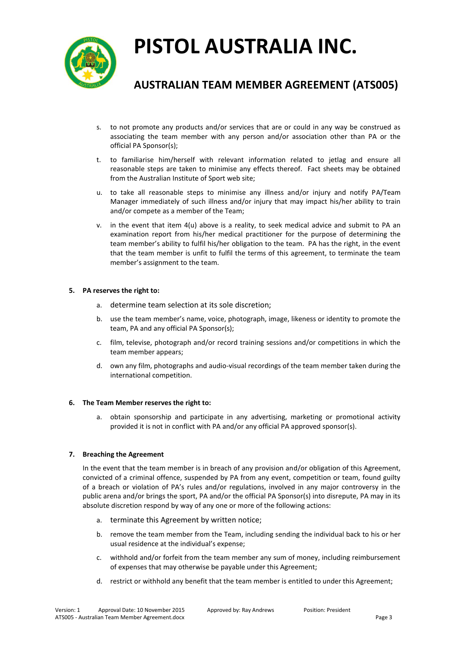

### **AUSTRALIAN TEAM MEMBER AGREEMENT (ATS005)**

- s. to not promote any products and/or services that are or could in any way be construed as associating the team member with any person and/or association other than PA or the official PA Sponsor(s);
- t. to familiarise him/herself with relevant information related to jetlag and ensure all reasonable steps are taken to minimise any effects thereof. Fact sheets may be obtained from the Australian Institute of Sport web site;
- u. to take all reasonable steps to minimise any illness and/or injury and notify PA/Team Manager immediately of such illness and/or injury that may impact his/her ability to train and/or compete as a member of the Team;
- v. in the event that item 4(u) above is a reality, to seek medical advice and submit to PA an examination report from his/her medical practitioner for the purpose of determining the team member's ability to fulfil his/her obligation to the team. PA has the right, in the event that the team member is unfit to fulfil the terms of this agreement, to terminate the team member's assignment to the team.

### **5. PA reserves the right to:**

- a. determine team selection at its sole discretion;
- b. use the team member's name, voice, photograph, image, likeness or identity to promote the team, PA and any official PA Sponsor(s);
- c. film, televise, photograph and/or record training sessions and/or competitions in which the team member appears;
- d. own any film, photographs and audio-visual recordings of the team member taken during the international competition.

### **6. The Team Member reserves the right to:**

a. obtain sponsorship and participate in any advertising, marketing or promotional activity provided it is not in conflict with PA and/or any official PA approved sponsor(s).

### **7. Breaching the Agreement**

In the event that the team member is in breach of any provision and/or obligation of this Agreement, convicted of a criminal offence, suspended by PA from any event, competition or team, found guilty of a breach or violation of PA's rules and/or regulations, involved in any major controversy in the public arena and/or brings the sport, PA and/or the official PA Sponsor(s) into disrepute, PA may in its absolute discretion respond by way of any one or more of the following actions:

- a. terminate this Agreement by written notice;
- b. remove the team member from the Team, including sending the individual back to his or her usual residence at the individual's expense;
- c. withhold and/or forfeit from the team member any sum of money, including reimbursement of expenses that may otherwise be payable under this Agreement;
- d. restrict or withhold any benefit that the team member is entitled to under this Agreement;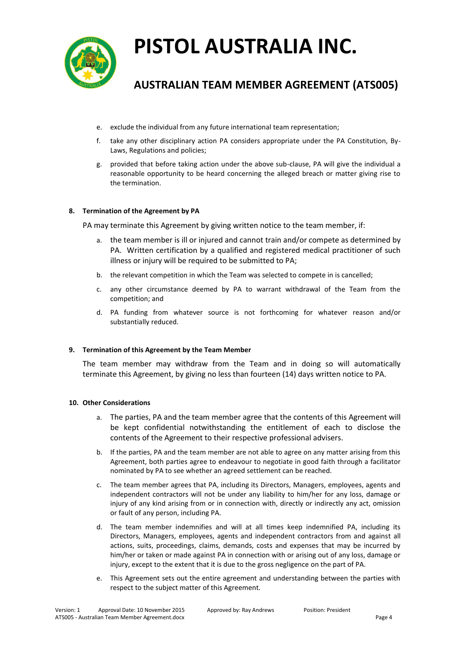

### **AUSTRALIAN TEAM MEMBER AGREEMENT (ATS005)**

- e. exclude the individual from any future international team representation;
- f. take any other disciplinary action PA considers appropriate under the PA Constitution, By-Laws, Regulations and policies;
- g. provided that before taking action under the above sub-clause, PA will give the individual a reasonable opportunity to be heard concerning the alleged breach or matter giving rise to the termination.

#### **8. Termination of the Agreement by PA**

PA may terminate this Agreement by giving written notice to the team member, if:

- a. the team member is ill or injured and cannot train and/or compete as determined by PA. Written certification by a qualified and registered medical practitioner of such illness or injury will be required to be submitted to PA;
- b. the relevant competition in which the Team was selected to compete in is cancelled;
- c. any other circumstance deemed by PA to warrant withdrawal of the Team from the competition; and
- d. PA funding from whatever source is not forthcoming for whatever reason and/or substantially reduced.

#### **9. Termination of this Agreement by the Team Member**

The team member may withdraw from the Team and in doing so will automatically terminate this Agreement, by giving no less than fourteen (14) days written notice to PA.

#### **10. Other Considerations**

- a. The parties, PA and the team member agree that the contents of this Agreement will be kept confidential notwithstanding the entitlement of each to disclose the contents of the Agreement to their respective professional advisers.
- b. If the parties, PA and the team member are not able to agree on any matter arising from this Agreement, both parties agree to endeavour to negotiate in good faith through a facilitator nominated by PA to see whether an agreed settlement can be reached.
- c. The team member agrees that PA, including its Directors, Managers, employees, agents and independent contractors will not be under any liability to him/her for any loss, damage or injury of any kind arising from or in connection with, directly or indirectly any act, omission or fault of any person, including PA.
- d. The team member indemnifies and will at all times keep indemnified PA, including its Directors, Managers, employees, agents and independent contractors from and against all actions, suits, proceedings, claims, demands, costs and expenses that may be incurred by him/her or taken or made against PA in connection with or arising out of any loss, damage or injury, except to the extent that it is due to the gross negligence on the part of PA.
- e. This Agreement sets out the entire agreement and understanding between the parties with respect to the subject matter of this Agreement.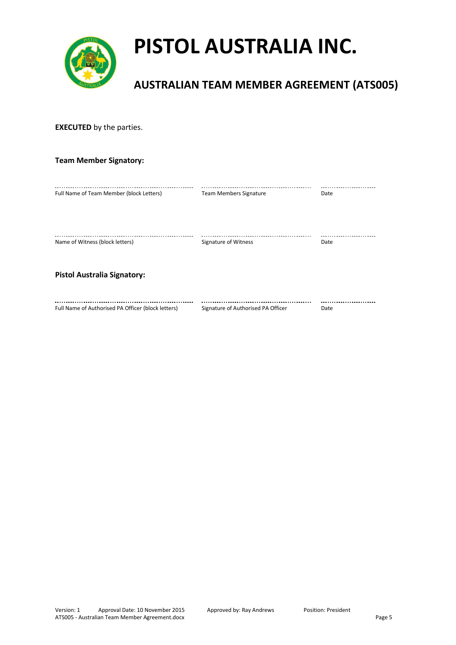

### **AUSTRALIAN TEAM MEMBER AGREEMENT (ATS005)**

| <b>EXECUTED</b> by the parties.                    |                                    |      |  |  |  |  |  |  |
|----------------------------------------------------|------------------------------------|------|--|--|--|--|--|--|
| <b>Team Member Signatory:</b>                      |                                    |      |  |  |  |  |  |  |
| Full Name of Team Member (block Letters)           | <b>Team Members Signature</b>      | Date |  |  |  |  |  |  |
| Name of Witness (block letters)                    | Signature of Witness               | Date |  |  |  |  |  |  |
| <b>Pistol Australia Signatory:</b>                 |                                    |      |  |  |  |  |  |  |
| Full Name of Authorised PA Officer (block letters) | Signature of Authorised PA Officer | Date |  |  |  |  |  |  |